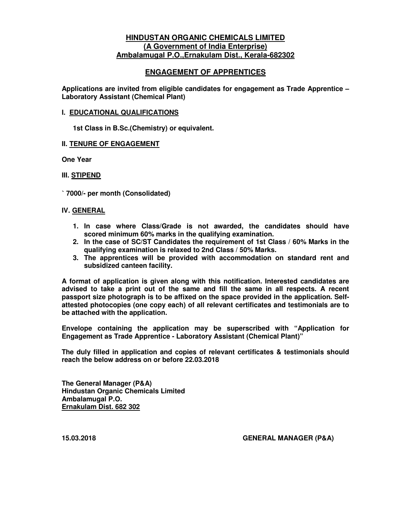## **HINDUSTAN ORGANIC CHEMICALS LIMITED (A Government of India Enterprise) Ambalamugal P.O.,Ernakulam Dist., Kerala-682302**

## **ENGAGEMENT OF APPRENTICES**

**Applications are invited from eligible candidates for engagement as Trade Apprentice – Laboratory Assistant (Chemical Plant)** 

#### **I. EDUCATIONAL QUALIFICATIONS**

**1st Class in B.Sc.(Chemistry) or equivalent.** 

## **II. TENURE OF ENGAGEMENT**

**One Year** 

#### **III. STIPEND**

` **7000/- per month (Consolidated)**

#### **IV. GENERAL**

- **1. In case where Class/Grade is not awarded, the candidates should have scored minimum 60% marks in the qualifying examination.**
- **2. In the case of SC/ST Candidates the requirement of 1st Class / 60% Marks in the qualifying examination is relaxed to 2nd Class / 50% Marks.**
- **3. The apprentices will be provided with accommodation on standard rent and subsidized canteen facility.**

**A format of application is given along with this notification. Interested candidates are advised to take a print out of the same and fill the same in all respects. A recent passport size photograph is to be affixed on the space provided in the application. Selfattested photocopies (one copy each) of all relevant certificates and testimonials are to be attached with the application.** 

**Envelope containing the application may be superscribed with "Application for Engagement as Trade Apprentice - Laboratory Assistant (Chemical Plant)"** 

**The duly filled in application and copies of relevant certificates & testimonials should reach the below address on or before 22.03.2018** 

**The General Manager (P&A) Hindustan Organic Chemicals Limited Ambalamugal P.O. Ernakulam Dist. 682 302** 

**15.03.2018 GENERAL MANAGER (P&A)**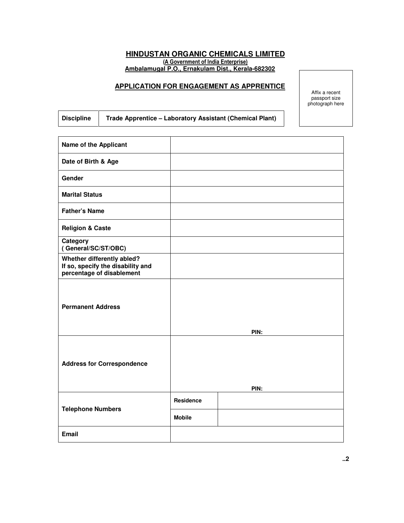# **HINDUSTAN ORGANIC CHEMICALS LIMITED**  (A Government of India Enterprise)

**Ambalamugal P.O., Ernakulam Dist., Kerala-682302** 

#### **APPLICATION FOR ENGAGEMENT AS APPRENTICE**

Affix a recent passport size photograph here

| <b>Discipline</b> | Trade Apprentice - Laboratory Assistant (Chemical Plant) |
|-------------------|----------------------------------------------------------|
|                   |                                                          |

т

| <b>Name of the Applicant</b>                                                                 |               |      |
|----------------------------------------------------------------------------------------------|---------------|------|
| Date of Birth & Age                                                                          |               |      |
| Gender                                                                                       |               |      |
| <b>Marital Status</b>                                                                        |               |      |
| <b>Father's Name</b>                                                                         |               |      |
| <b>Religion &amp; Caste</b>                                                                  |               |      |
| Category<br>(General/SC/ST/OBC)                                                              |               |      |
| Whether differently abled?<br>If so, specify the disability and<br>percentage of disablement |               |      |
| <b>Permanent Address</b>                                                                     |               | PIN: |
| <b>Address for Correspondence</b>                                                            |               | PIN: |
|                                                                                              | Residence     |      |
| <b>Telephone Numbers</b>                                                                     | <b>Mobile</b> |      |
| <b>Email</b>                                                                                 |               |      |